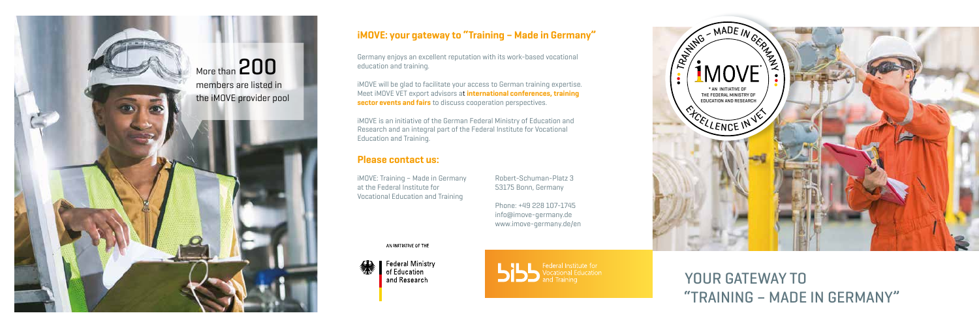YOUR GATEWAY TO

# "TRAINING – MADE IN GERMANY"



iMOVE will be glad to facilitate your access to German training expertise. Meet iMOVE VET export advisors at international conferences, training sector events and fairs to discuss cooperation perspectives.

# iMOVE: your gateway to "Training – Made in Germany"

Germany enjoys an excellent reputation with its work-based vocational education and training.

iMOVE is an initiative of the German Federal Ministry of Education and Research and an integral part of the Federal Institute for Vocational Education and Training.

## Please contact us:

iMOVE: Training – Made in Germany at the Federal Institute for Vocational Education and Training

Robert-Schuman-Platz 3 53175 Bonn, Germany

Phone: +49 228 107-1745 info@imove-germany.de www.imove-germany.de/en

AN INITIATIVE OF THE



**Federal Ministry** of Education and Research